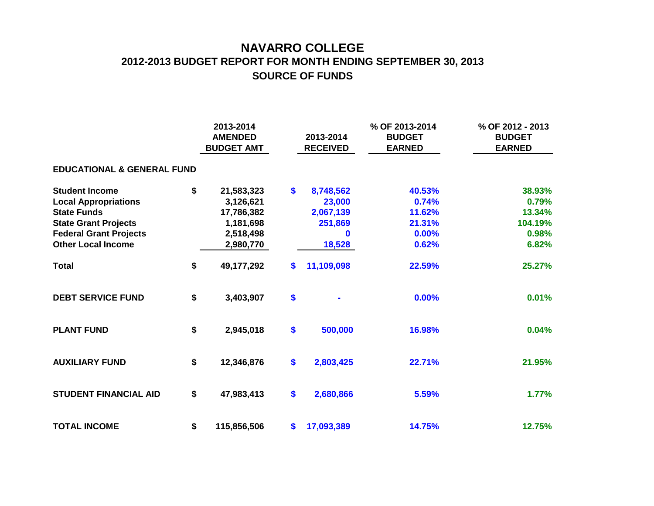## **NAVARRO COLLEGE 2012-2013 BUDGET REPORT FOR MONTH ENDING SEPTEMBER 30, 2013 SOURCE OF FUNDS**

|                                       |    | 2013-2014<br><b>AMENDED</b><br><b>BUDGET AMT</b> |               | 2013-2014<br><b>RECEIVED</b> | % OF 2013-2014<br><b>BUDGET</b><br><b>EARNED</b> | % OF 2012 - 2013<br><b>BUDGET</b><br><b>EARNED</b> |  |  |  |  |  |  |  |
|---------------------------------------|----|--------------------------------------------------|---------------|------------------------------|--------------------------------------------------|----------------------------------------------------|--|--|--|--|--|--|--|
| <b>EDUCATIONAL &amp; GENERAL FUND</b> |    |                                                  |               |                              |                                                  |                                                    |  |  |  |  |  |  |  |
| <b>Student Income</b>                 | \$ | 21,583,323                                       | $\mathbf{\$}$ | 8,748,562                    | 40.53%                                           | 38.93%                                             |  |  |  |  |  |  |  |
| <b>Local Appropriations</b>           |    | 3,126,621                                        |               | 23,000                       | 0.74%                                            | 0.79%                                              |  |  |  |  |  |  |  |
| <b>State Funds</b>                    |    | 17,786,382                                       |               | 2,067,139                    | 11.62%                                           | 13.34%                                             |  |  |  |  |  |  |  |
| <b>State Grant Projects</b>           |    | 1,181,698                                        |               | 251,869                      | 21.31%                                           | 104.19%                                            |  |  |  |  |  |  |  |
| <b>Federal Grant Projects</b>         |    | 2,518,498                                        |               | U                            | 0.00%                                            | 0.98%                                              |  |  |  |  |  |  |  |
| <b>Other Local Income</b>             |    | 2,980,770                                        |               | 18,528                       | 0.62%                                            | 6.82%                                              |  |  |  |  |  |  |  |
| <b>Total</b>                          | \$ | 49,177,292                                       | \$            | 11,109,098                   | 22.59%                                           | 25.27%                                             |  |  |  |  |  |  |  |
| <b>DEBT SERVICE FUND</b>              | \$ | 3,403,907                                        | \$            |                              | 0.00%                                            | 0.01%                                              |  |  |  |  |  |  |  |
| <b>PLANT FUND</b>                     | \$ | 2,945,018                                        | \$            | 500,000                      | 16.98%                                           | 0.04%                                              |  |  |  |  |  |  |  |
| <b>AUXILIARY FUND</b>                 | \$ | 12,346,876                                       | \$            | 2,803,425                    | 22.71%                                           | 21.95%                                             |  |  |  |  |  |  |  |
| <b>STUDENT FINANCIAL AID</b>          | \$ | 47,983,413                                       | \$            | 2,680,866                    | 5.59%                                            | 1.77%                                              |  |  |  |  |  |  |  |
| <b>TOTAL INCOME</b>                   | \$ | 115,856,506                                      | \$            | 17,093,389                   | 14.75%                                           | 12.75%                                             |  |  |  |  |  |  |  |